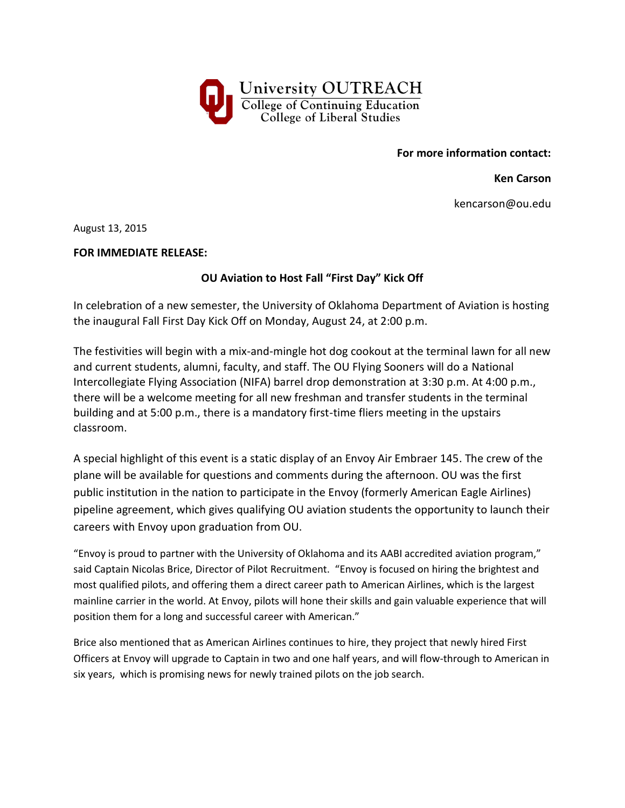

**For more information contact:**

**Ken Carson**

kencarson@ou.edu

August 13, 2015

## **FOR IMMEDIATE RELEASE:**

## **OU Aviation to Host Fall "First Day" Kick Off**

In celebration of a new semester, the University of Oklahoma Department of Aviation is hosting the inaugural Fall First Day Kick Off on Monday, August 24, at 2:00 p.m.

The festivities will begin with a mix-and-mingle hot dog cookout at the terminal lawn for all new and current students, alumni, faculty, and staff. The OU Flying Sooners will do a National Intercollegiate Flying Association (NIFA) barrel drop demonstration at 3:30 p.m. At 4:00 p.m., there will be a welcome meeting for all new freshman and transfer students in the terminal building and at 5:00 p.m., there is a mandatory first-time fliers meeting in the upstairs classroom.

A special highlight of this event is a static display of an Envoy Air Embraer 145. The crew of the plane will be available for questions and comments during the afternoon. OU was the first public institution in the nation to participate in the Envoy (formerly American Eagle Airlines) pipeline agreement, which gives qualifying OU aviation students the opportunity to launch their careers with Envoy upon graduation from OU.

"Envoy is proud to partner with the University of Oklahoma and its AABI accredited aviation program," said Captain Nicolas Brice, Director of Pilot Recruitment. "Envoy is focused on hiring the brightest and most qualified pilots, and offering them a direct career path to American Airlines, which is the largest mainline carrier in the world. At Envoy, pilots will hone their skills and gain valuable experience that will position them for a long and successful career with American."

Brice also mentioned that as American Airlines continues to hire, they project that newly hired First Officers at Envoy will upgrade to Captain in two and one half years, and will flow-through to American in six years, which is promising news for newly trained pilots on the job search.